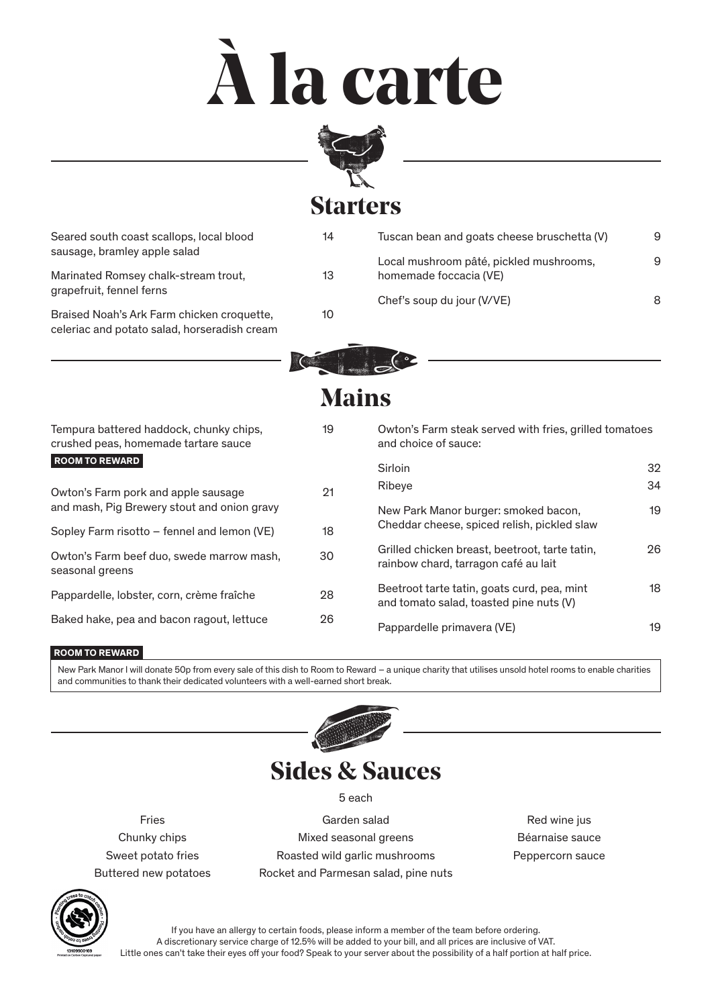# **À la carte**



#### **Starters**

| Seared south coast scallops, local blood<br>sausage, bramley apple salad                   | 14 | Tuscan bean and goats cheese bruschetta (V) | 9 |
|--------------------------------------------------------------------------------------------|----|---------------------------------------------|---|
|                                                                                            |    | Local mushroom pâté, pickled mushrooms,     | 9 |
| Marinated Romsey chalk-stream trout,<br>grapefruit, fennel ferns                           | 13 | homemade foccacia (VE)                      |   |
|                                                                                            |    | Chef's soup du jour (V/VE)                  | 8 |
| Braised Noah's Ark Farm chicken croquette,<br>celeriac and potato salad, horseradish cream | 10 |                                             |   |
|                                                                                            |    |                                             |   |



## **Mains**

| Tempura battered haddock, chunky chips,<br>crushed peas, homemade tartare sauce | 19 | Owton's Farm steak served with fries, grilled tomatoes<br>and choice of sauce:         |    |
|---------------------------------------------------------------------------------|----|----------------------------------------------------------------------------------------|----|
| <b>ROOM TO REWARD</b>                                                           |    | Sirloin                                                                                | 32 |
| Owton's Farm pork and apple sausage                                             | 21 | Ribeye                                                                                 | 34 |
| and mash, Pig Brewery stout and onion gravy                                     |    | New Park Manor burger: smoked bacon,                                                   | 19 |
| Sopley Farm risotto – fennel and lemon (VE)                                     | 18 | Cheddar cheese, spiced relish, pickled slaw                                            |    |
| Owton's Farm beef duo, swede marrow mash,<br>seasonal greens                    | 30 | Grilled chicken breast, beetroot, tarte tatin,<br>rainbow chard, tarragon café au lait | 26 |
| Pappardelle, lobster, corn, crème fraîche                                       | 28 | Beetroot tarte tatin, goats curd, pea, mint<br>and tomato salad, toasted pine nuts (V) | 18 |
| Baked hake, pea and bacon ragout, lettuce                                       | 26 | Pappardelle primavera (VE)                                                             | 19 |

#### **ROOM TO REWARD**

New Park Manor I will donate 50p from every sale of this dish to Room to Reward – a unique charity that utilises unsold hotel rooms to enable charities and communities to thank their dedicated volunteers with a well-earned short break.



### **Sides & Sauces**

5 each

Fries Chunky chips Sweet potato fries Buttered new potatoes

Garden salad Mixed seasonal greens Roasted wild garlic mushrooms Rocket and Parmesan salad, pine nuts

Red wine jus Béarnaise sauce Peppercorn sauce



If you have an allergy to certain foods, please inform a member of the team before ordering. A discretionary service charge of 12.5% will be added to your bill, and all prices are inclusive of VAT. Little ones can't take their eyes off your food? Speak to your server about the possibility of a half portion at half price.